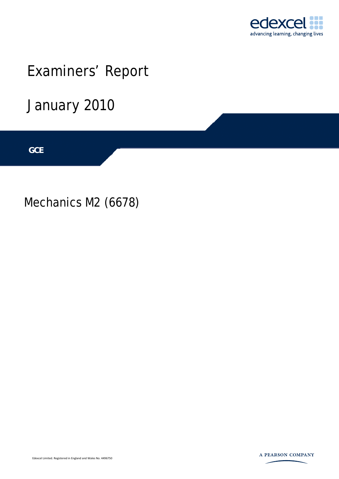

# Examiners' Report

January 2010

**IGCSE GCE** 

Mechanics M2 (6678)



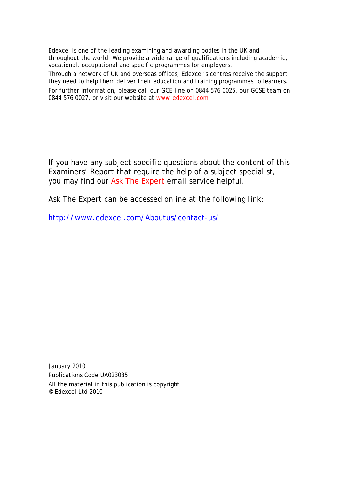Edexcel is one of the leading examining and awarding bodies in the UK and throughout the world. We provide a wide range of qualifications including academic, vocational, occupational and specific programmes for employers.

Through a network of UK and overseas offices, Edexcel's centres receive the support they need to help them deliver their education and training programmes to learners.

For further information, please call our GCE line on 0844 576 0025, our GCSE team on 0844 576 0027, or visit our website at www.edexcel.com.

If you have any subject specific questions about the content of this Examiners' Report that require the help of a subject specialist, you may find our Ask The Expert email service helpful.

Ask The Expert can be accessed online at the following link:

http://www.edexcel.com/Aboutus/contact-us/

January 2010 Publications Code UA023035 All the material in this publication is copyright © Edexcel Ltd 2010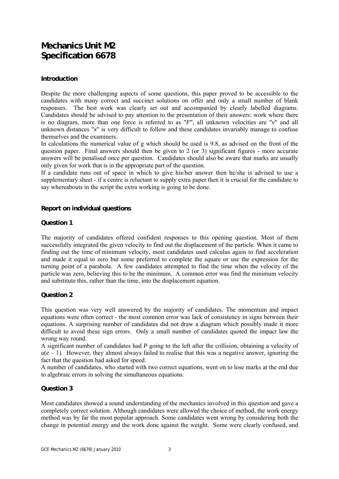### **Mechanics Unit M2 Specification 6678**

#### **Introduction**

Despite the more challenging aspects of some questions, this paper proved to be accessible to the candidates with many correct and succinct solutions on offer and only a small number of blank responses. The best work was clearly set out and accompanied by clearly labelled diagrams. Candidates should be advised to pay attention to the presentation of their answers: work where there is no diagram, more than one force is referred to as "*F*", all unknown velocities are "*v*" and all unknown distances "*x*" is very difficult to follow and these candidates invariably manage to confuse themselves and the examiners.

In calculations the numerical value of g which should be used is 9.8, as advised on the front of the question paper. Final answers should then be given to 2 (or 3) significant figures - more accurate answers will be penalised once per question. Candidates should also be aware that marks are usually only given for work that is in the appropriate part of the question.

If a candidate runs out of space in which to give his/her answer then he/she is advised to use a supplementary sheet - if a centre is reluctant to supply extra paper then it is crucial for the candidate to say whereabouts in the script the extra working is going to be done.

#### **Report on individual questions**

#### **Question 1**

The majority of candidates offered confident responses to this opening question. Most of them successfully integrated the given velocity to find out the displacement of the particle. When it came to finding out the time of minimum velocity, most candidates used calculus again to find acceleration and made it equal to zero but some preferred to complete the square or use the expression for the turning point of a parabola. A few candidates attempted to find the time when the velocity of the particle was zero, believing this to be the minimum. A common error was find the minimum velocity and substitute this, rather than the time, into the displacement equation.

#### **Question 2**

This question was very well answered by the majority of candidates. The momentum and impact equations were often correct - the most common error was lack of consistency in signs between their equations. A surprising number of candidates did not draw a diagram which possibly made it more difficult to avoid these sign errors. Only a small number of candidates quoted the impact law the wrong way round.

A significant number of candidates had *P* going to the left after the collision, obtaining a velocity of  $u(e-1)$ . However, they almost always failed to realise that this was a negative answer, ignoring the fact that the question had asked for speed.

A number of candidates, who started with two correct equations, went on to lose marks at the end due to algebraic errors in solving the simultaneous equations.

#### **Question 3**

Most candidates showed a sound understanding of the mechanics involved in this question and gave a completely correct solution. Although candidates were allowed the choice of method, the work energy method was by far the most popular approach. Some candidates went wrong by considering both the change in potential energy and the work done against the weight. Some were clearly confused, and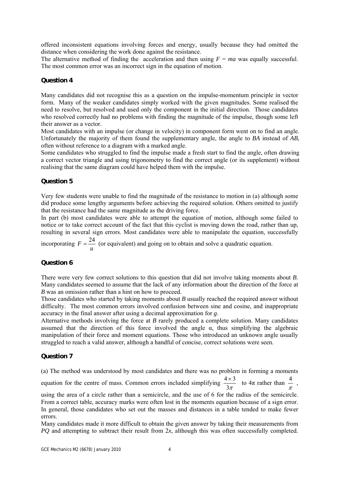offered inconsistent equations involving forces and energy, usually because they had omitted the distance when considering the work done against the resistance.

The alternative method of finding the acceleration and then using  $F = ma$  was equally successful. The most common error was an incorrect sign in the equation of motion.

#### **Question 4**

Many candidates did not recognise this as a question on the impulse-momentum principle in vector form. Many of the weaker candidates simply worked with the given magnitudes. Some realised the need to resolve, but resolved and used only the component in the initial direction. Those candidates who resolved correctly had no problems with finding the magnitude of the impulse, though some left their answer as a vector.

Most candidates with an impulse (or change in velocity) in component form went on to find an angle. Unfortunately the majority of them found the supplementary angle, the angle to *BA* instead of *AB*, often without reference to a diagram with a marked angle.

Some candidates who struggled to find the impulse made a fresh start to find the angle, often drawing a correct vector triangle and using trigonometry to find the correct angle (or its supplement) without realising that the same diagram could have helped them with the impulse.

#### **Question 5**

Very few students were unable to find the magnitude of the resistance to motion in (a) although some did produce some lengthy arguments before achieving the required solution. Others omitted to justify that the resistance had the same magnitude as the driving force.

In part (b) most candidates were able to attempt the equation of motion, although some failed to notice or to take correct account of the fact that this cyclist is moving down the road, rather than up, resulting in several sign errors. Most candidates were able to manipulate the equation, successfully

incorporating *u*  $F = \frac{24}{\pi}$  (or equivalent) and going on to obtain and solve a quadratic equation.

#### **Question 6**

There were very few correct solutions to this question that did not involve taking moments about *B*. Many candidates seemed to assume that the lack of any information about the direction of the force at *B* was an omission rather than a hint on how to proceed.

Those candidates who started by taking moments about *B* usually reached the required answer without difficulty. The most common errors involved confusion between sine and cosine, and inappropriate accuracy in the final answer after using a decimal approximation for *g*.

Alternative methods involving the force at *B* rarely produced a complete solution. Many candidates assumed that the direction of this force involved the angle  $\alpha$ , thus simplifying the algebraic manipulation of their force and moment equations. Those who introduced an unknown angle usually struggled to reach a valid answer, although a handful of concise, correct solutions were seen.

#### **Question 7**

(a) The method was understood by most candidates and there was no problem in forming a moments

equation for the centre of mass. Common errors included simplifying  $\frac{4 \times 3}{3\pi}$  to  $4\pi$  rather than  $\frac{4}{\pi}$ ,

using the area of a circle rather than a semicircle, and the use of 6 for the radius of the semicircle. From a correct table, accuracy marks were often lost in the moments equation because of a sign error. In general, those candidates who set out the masses and distances in a table tended to make fewer errors.

Many candidates made it more difficult to obtain the given answer by taking their measurements from *PQ* and attempting to subtract their result from 2*x*, although this was often successfully completed.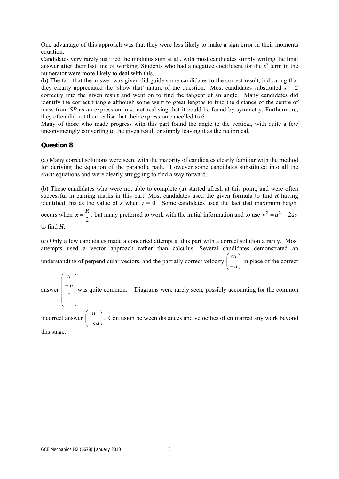One advantage of this approach was that they were less likely to make a sign error in their moments equation.

Candidates very rarely justified the modulus sign at all, with most candidates simply writing the final answer after their last line of working. Students who had a negative coefficient for the  $x^2$  term in the numerator were more likely to deal with this.

(b) The fact that the answer was given did guide some candidates to the correct result, indicating that they clearly appreciated the 'show that' nature of the question. Most candidates substituted  $x = 2$ correctly into the given result and went on to find the tangent of an angle. Many candidates did identify the correct triangle although some went to great lengths to find the distance of the centre of mass from *SP* as an expression in  $\dot{x}$ , not realising that it could be found by symmetry. Furthermore, they often did not then realise that their expression cancelled to 6.

Many of those who made progress with this part found the angle to the vertical, with quite a few unconvincingly converting to the given result or simply leaving it as the reciprocal.

#### **Question 8**

(a) Many correct solutions were seen, with the majority of candidates clearly familiar with the method for deriving the equation of the parabolic path. However some candidates substituted into all the *suvat* equations and were clearly struggling to find a way forward.

(b) Those candidates who were not able to complete (a) started afresh at this point, and were often successful in earning marks in this part. Most candidates used the given formula to find *R* having identified this as the value of *x* when  $y = 0$ . Some candidates used the fact that maximum height occurs when 2  $x = \frac{R}{a}$ , but many preferred to work with the initial information and to use  $v^2 = u^2 + 2as$ to find *H*.

(c) Only a few candidates made a concerted attempt at this part with a correct solution a rarity. Most attempts used a vector approach rather than calculus. Several candidates demonstrated an understanding of perpendicular vectors, and the partially correct velocity  $\begin{bmatrix} a & b \\ c & d \end{bmatrix}$ ⎠ ⎞  $\overline{\phantom{a}}$ ⎝  $\big($ − *u cu* in place of the correct

answer  $\overline{\phantom{a}}$  $\overline{\phantom{a}}$  $\overline{\phantom{a}}$  $\overline{\phantom{a}}$  $\parallel$  $\lfloor$  $\lfloor$  $\mathsf I$ − *c u* was quite common. Diagrams were rarely seen, possibly accounting for the common

incorrect answer  $\begin{vmatrix} u \\ -cu \end{vmatrix}$ ⎠ ⎞  $\parallel$ ⎝  $\sqrt{}$ − *cu u* . Confusion between distances and velocities often marred any work beyond this stage.

⎠

⎝

⎛

*u*

⎞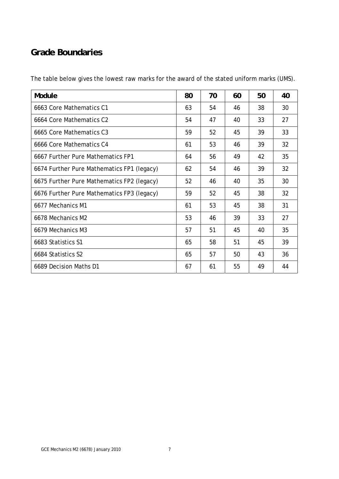## **Grade Boundaries**

| Module                                     | 80 | 70 | 60 | 50 | 40 |
|--------------------------------------------|----|----|----|----|----|
| 6663 Core Mathematics C1                   | 63 | 54 | 46 | 38 | 30 |
| 6664 Core Mathematics C2                   | 54 | 47 | 40 | 33 | 27 |
| 6665 Core Mathematics C3                   | 59 | 52 | 45 | 39 | 33 |
| 6666 Core Mathematics C4                   | 61 | 53 | 46 | 39 | 32 |
| 6667 Further Pure Mathematics FP1          | 64 | 56 | 49 | 42 | 35 |
| 6674 Further Pure Mathematics FP1 (legacy) | 62 | 54 | 46 | 39 | 32 |
| 6675 Further Pure Mathematics FP2 (legacy) | 52 | 46 | 40 | 35 | 30 |
| 6676 Further Pure Mathematics FP3 (legacy) | 59 | 52 | 45 | 38 | 32 |
| 6677 Mechanics M1                          | 61 | 53 | 45 | 38 | 31 |
| 6678 Mechanics M2                          | 53 | 46 | 39 | 33 | 27 |
| 6679 Mechanics M3                          | 57 | 51 | 45 | 40 | 35 |
| 6683 Statistics S1                         | 65 | 58 | 51 | 45 | 39 |
| 6684 Statistics S2                         | 65 | 57 | 50 | 43 | 36 |
| 6689 Decision Maths D1                     | 67 | 61 | 55 | 49 | 44 |

The table below gives the lowest raw marks for the award of the stated uniform marks (UMS).